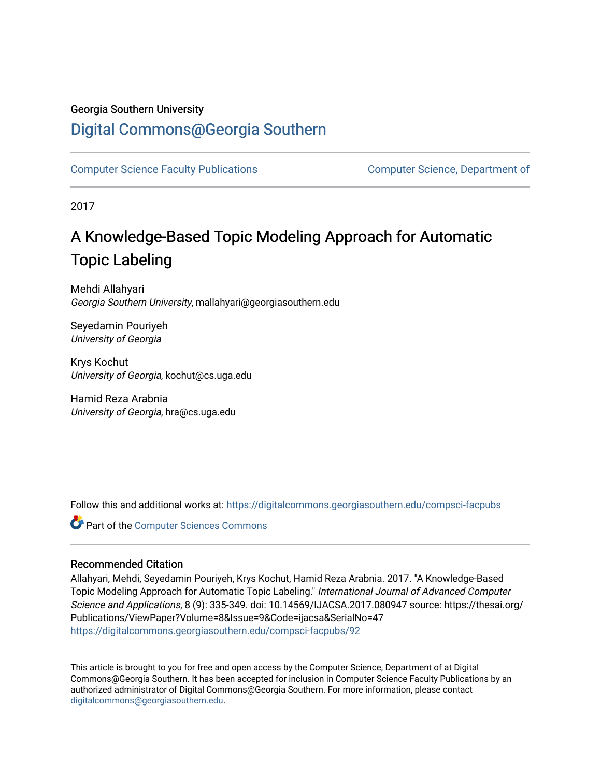### Georgia Southern University

### [Digital Commons@Georgia Southern](https://digitalcommons.georgiasouthern.edu/)

[Computer Science Faculty Publications](https://digitalcommons.georgiasouthern.edu/compsci-facpubs) [Computer Science, Department of](https://digitalcommons.georgiasouthern.edu/compsci) 

2017

## A Knowledge-Based Topic Modeling Approach for Automatic Topic Labeling

Mehdi Allahyari Georgia Southern University, mallahyari@georgiasouthern.edu

Seyedamin Pouriyeh University of Georgia

Krys Kochut University of Georgia, kochut@cs.uga.edu

Hamid Reza Arabnia University of Georgia, hra@cs.uga.edu

Follow this and additional works at: [https://digitalcommons.georgiasouthern.edu/compsci-facpubs](https://digitalcommons.georgiasouthern.edu/compsci-facpubs?utm_source=digitalcommons.georgiasouthern.edu%2Fcompsci-facpubs%2F92&utm_medium=PDF&utm_campaign=PDFCoverPages) 

**C** Part of the [Computer Sciences Commons](http://network.bepress.com/hgg/discipline/142?utm_source=digitalcommons.georgiasouthern.edu%2Fcompsci-facpubs%2F92&utm_medium=PDF&utm_campaign=PDFCoverPages)

#### Recommended Citation

Allahyari, Mehdi, Seyedamin Pouriyeh, Krys Kochut, Hamid Reza Arabnia. 2017. "A Knowledge-Based Topic Modeling Approach for Automatic Topic Labeling." International Journal of Advanced Computer Science and Applications, 8 (9): 335-349. doi: 10.14569/IJACSA.2017.080947 source: https://thesai.org/ Publications/ViewPaper?Volume=8&Issue=9&Code=ijacsa&SerialNo=47 [https://digitalcommons.georgiasouthern.edu/compsci-facpubs/92](https://digitalcommons.georgiasouthern.edu/compsci-facpubs/92?utm_source=digitalcommons.georgiasouthern.edu%2Fcompsci-facpubs%2F92&utm_medium=PDF&utm_campaign=PDFCoverPages)

This article is brought to you for free and open access by the Computer Science, Department of at Digital Commons@Georgia Southern. It has been accepted for inclusion in Computer Science Faculty Publications by an authorized administrator of Digital Commons@Georgia Southern. For more information, please contact [digitalcommons@georgiasouthern.edu.](mailto:digitalcommons@georgiasouthern.edu)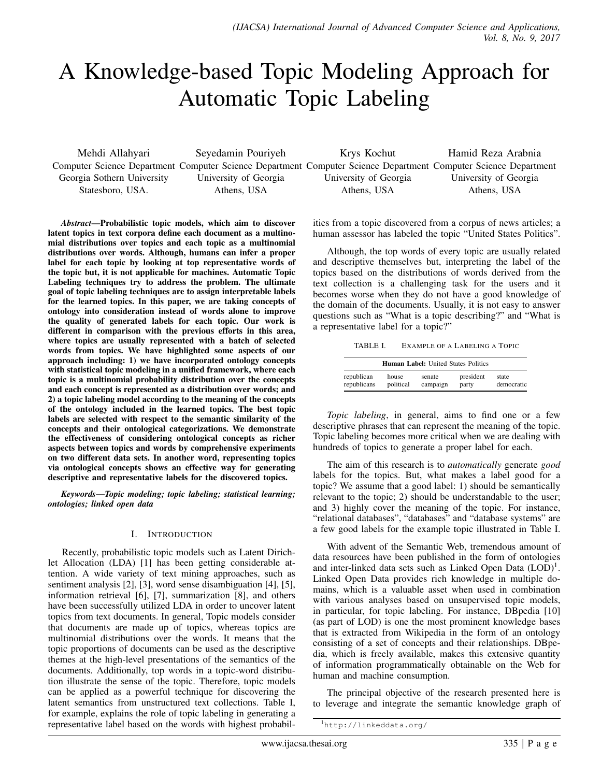# A Knowledge-based Topic Modeling Approach for Automatic Topic Labeling

Mehdi Allahyari Georgia Sothern University Statesboro, USA.

Seyedamin Pouriyeh University of Georgia Athens, USA

Computer Science Department Computer Science Department Computer Science Department Computer Science Department Krys Kochut University of Georgia Athens, USA Hamid Reza Arabnia University of Georgia Athens, USA

*Abstract*—Probabilistic topic models, which aim to discover latent topics in text corpora define each document as a multinomial distributions over topics and each topic as a multinomial distributions over words. Although, humans can infer a proper label for each topic by looking at top representative words of the topic but, it is not applicable for machines. Automatic Topic Labeling techniques try to address the problem. The ultimate goal of topic labeling techniques are to assign interpretable labels for the learned topics. In this paper, we are taking concepts of ontology into consideration instead of words alone to improve the quality of generated labels for each topic. Our work is different in comparison with the previous efforts in this area, where topics are usually represented with a batch of selected words from topics. We have highlighted some aspects of our approach including: 1) we have incorporated ontology concepts with statistical topic modeling in a unified framework, where each topic is a multinomial probability distribution over the concepts and each concept is represented as a distribution over words; and 2) a topic labeling model according to the meaning of the concepts of the ontology included in the learned topics. The best topic labels are selected with respect to the semantic similarity of the concepts and their ontological categorizations. We demonstrate the effectiveness of considering ontological concepts as richer aspects between topics and words by comprehensive experiments on two different data sets. In another word, representing topics via ontological concepts shows an effective way for generating descriptive and representative labels for the discovered topics.

*Keywords*—*Topic modeling; topic labeling; statistical learning; ontologies; linked open data*

#### I. INTRODUCTION

Recently, probabilistic topic models such as Latent Dirichlet Allocation (LDA) [1] has been getting considerable attention. A wide variety of text mining approaches, such as sentiment analysis [2], [3], word sense disambiguation [4], [5], information retrieval [6], [7], summarization [8], and others have been successfully utilized LDA in order to uncover latent topics from text documents. In general, Topic models consider that documents are made up of topics, whereas topics are multinomial distributions over the words. It means that the topic proportions of documents can be used as the descriptive themes at the high-level presentations of the semantics of the documents. Additionally, top words in a topic-word distribution illustrate the sense of the topic. Therefore, topic models can be applied as a powerful technique for discovering the latent semantics from unstructured text collections. Table I, for example, explains the role of topic labeling in generating a representative label based on the words with highest probabilities from a topic discovered from a corpus of news articles; a human assessor has labeled the topic "United States Politics".

Although, the top words of every topic are usually related and descriptive themselves but, interpreting the label of the topics based on the distributions of words derived from the text collection is a challenging task for the users and it becomes worse when they do not have a good knowledge of the domain of the documents. Usually, it is not easy to answer questions such as "What is a topic describing?" and "What is a representative label for a topic?"

TABLE I. EXAMPLE OF A LABELING A TOPIC

| <b>Human Label:</b> United States Politics |           |          |           |            |
|--------------------------------------------|-----------|----------|-----------|------------|
| republican                                 | house     | senate   | president | state      |
| republicans                                | political | campaign | party     | democratic |

*Topic labeling*, in general, aims to find one or a few descriptive phrases that can represent the meaning of the topic. Topic labeling becomes more critical when we are dealing with hundreds of topics to generate a proper label for each.

The aim of this research is to *automatically* generate *good* labels for the topics. But, what makes a label good for a topic? We assume that a good label: 1) should be semantically relevant to the topic; 2) should be understandable to the user; and 3) highly cover the meaning of the topic. For instance, "relational databases", "databases" and "database systems" are a few good labels for the example topic illustrated in Table I.

With advent of the Semantic Web, tremendous amount of data resources have been published in the form of ontologies and inter-linked data sets such as Linked Open Data (LOD)<sup>1</sup>. Linked Open Data provides rich knowledge in multiple domains, which is a valuable asset when used in combination with various analyses based on unsupervised topic models, in particular, for topic labeling. For instance, DBpedia [10] (as part of LOD) is one the most prominent knowledge bases that is extracted from Wikipedia in the form of an ontology consisting of a set of concepts and their relationships. DBpedia, which is freely available, makes this extensive quantity of information programmatically obtainable on the Web for human and machine consumption.

The principal objective of the research presented here is to leverage and integrate the semantic knowledge graph of

<sup>1</sup>http://linkeddata.org/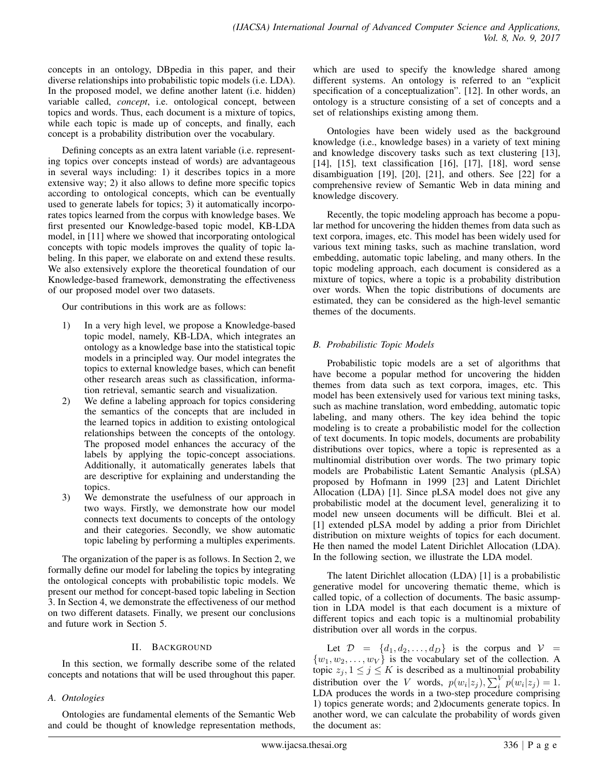concepts in an ontology, DBpedia in this paper, and their diverse relationships into probabilistic topic models (i.e. LDA). In the proposed model, we define another latent (i.e. hidden) variable called, *concept*, i.e. ontological concept, between topics and words. Thus, each document is a mixture of topics, while each topic is made up of concepts, and finally, each concept is a probability distribution over the vocabulary.

Defining concepts as an extra latent variable (i.e. representing topics over concepts instead of words) are advantageous in several ways including: 1) it describes topics in a more extensive way; 2) it also allows to define more specific topics according to ontological concepts, which can be eventually used to generate labels for topics; 3) it automatically incorporates topics learned from the corpus with knowledge bases. We first presented our Knowledge-based topic model, KB-LDA model, in [11] where we showed that incorporating ontological concepts with topic models improves the quality of topic labeling. In this paper, we elaborate on and extend these results. We also extensively explore the theoretical foundation of our Knowledge-based framework, demonstrating the effectiveness of our proposed model over two datasets.

Our contributions in this work are as follows:

- 1) In a very high level, we propose a Knowledge-based topic model, namely, KB-LDA, which integrates an ontology as a knowledge base into the statistical topic models in a principled way. Our model integrates the topics to external knowledge bases, which can benefit other research areas such as classification, information retrieval, semantic search and visualization.
- 2) We define a labeling approach for topics considering the semantics of the concepts that are included in the learned topics in addition to existing ontological relationships between the concepts of the ontology. The proposed model enhances the accuracy of the labels by applying the topic-concept associations. Additionally, it automatically generates labels that are descriptive for explaining and understanding the topics.
- 3) We demonstrate the usefulness of our approach in two ways. Firstly, we demonstrate how our model connects text documents to concepts of the ontology and their categories. Secondly, we show automatic topic labeling by performing a multiples experiments.

The organization of the paper is as follows. In Section 2, we formally define our model for labeling the topics by integrating the ontological concepts with probabilistic topic models. We present our method for concept-based topic labeling in Section 3. In Section 4, we demonstrate the effectiveness of our method on two different datasets. Finally, we present our conclusions and future work in Section 5.

#### II. BACKGROUND

In this section, we formally describe some of the related concepts and notations that will be used throughout this paper.

#### *A. Ontologies*

Ontologies are fundamental elements of the Semantic Web and could be thought of knowledge representation methods,

which are used to specify the knowledge shared among different systems. An ontology is referred to an "explicit specification of a conceptualization". [12]. In other words, an ontology is a structure consisting of a set of concepts and a set of relationships existing among them.

Ontologies have been widely used as the background knowledge (i.e., knowledge bases) in a variety of text mining and knowledge discovery tasks such as text clustering [13], [14], [15], text classification [16], [17], [18], word sense disambiguation [19], [20], [21], and others. See [22] for a comprehensive review of Semantic Web in data mining and knowledge discovery.

Recently, the topic modeling approach has become a popular method for uncovering the hidden themes from data such as text corpora, images, etc. This model has been widely used for various text mining tasks, such as machine translation, word embedding, automatic topic labeling, and many others. In the topic modeling approach, each document is considered as a mixture of topics, where a topic is a probability distribution over words. When the topic distributions of documents are estimated, they can be considered as the high-level semantic themes of the documents.

#### *B. Probabilistic Topic Models*

Probabilistic topic models are a set of algorithms that have become a popular method for uncovering the hidden themes from data such as text corpora, images, etc. This model has been extensively used for various text mining tasks, such as machine translation, word embedding, automatic topic labeling, and many others. The key idea behind the topic modeling is to create a probabilistic model for the collection of text documents. In topic models, documents are probability distributions over topics, where a topic is represented as a multinomial distribution over words. The two primary topic models are Probabilistic Latent Semantic Analysis (pLSA) proposed by Hofmann in 1999 [23] and Latent Dirichlet Allocation (LDA) [1]. Since pLSA model does not give any probabilistic model at the document level, generalizing it to model new unseen documents will be difficult. Blei et al. [1] extended pLSA model by adding a prior from Dirichlet distribution on mixture weights of topics for each document. He then named the model Latent Dirichlet Allocation (LDA). In the following section, we illustrate the LDA model.

The latent Dirichlet allocation (LDA) [1] is a probabilistic generative model for uncovering thematic theme, which is called topic, of a collection of documents. The basic assumption in LDA model is that each document is a mixture of different topics and each topic is a multinomial probability distribution over all words in the corpus.

Let  $\mathcal{D} = \{d_1, d_2, \ldots, d_D\}$  is the corpus and  $\mathcal{V} =$  $\{w_1, w_2, \dots, w_V\}$  is the vocabulary set of the collection. A topic  $z_j, 1 \leq j \leq K$  is described as a multinomial probability distribution over the V words,  $p(w_i|z_j)$ ,  $\sum_i^V p(w_i|z_j) = 1$ . LDA produces the words in a two-step procedure comprising 1) topics generate words; and 2)documents generate topics. In another word, we can calculate the probability of words given the document as: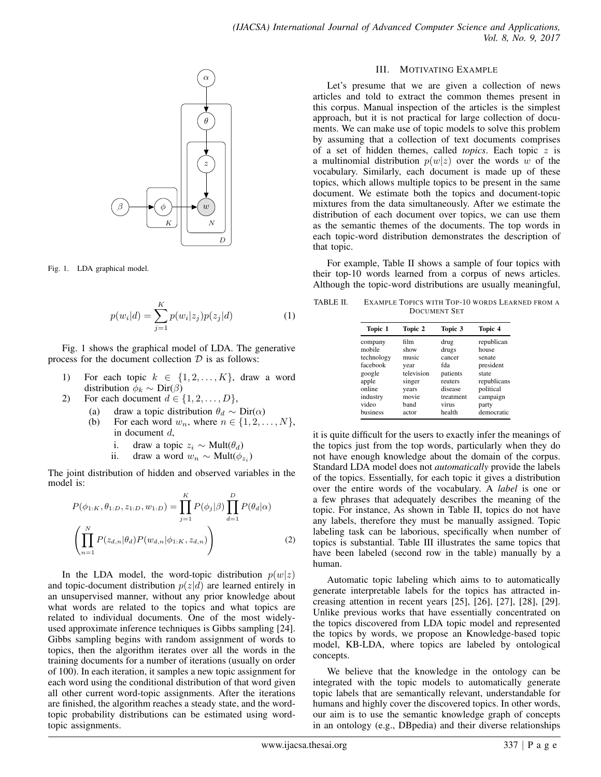

Fig. 1. LDA graphical model.

$$
p(w_i|d) = \sum_{j=1}^{K} p(w_i|z_j)p(z_j|d)
$$
 (1)

Fig. 1 shows the graphical model of LDA. The generative process for the document collection  $D$  is as follows:

- 1) For each topic  $k \in \{1, 2, ..., K\}$ , draw a word distribution  $\phi_k \sim \text{Dir}(\beta)$
- 2) For each document  $d \in \{1, 2, \ldots, D\},\$ 
	- (a) draw a topic distribution  $\theta_d \sim \text{Dir}(\alpha)$
	- (b) For each word  $w_n$ , where  $n \in \{1, 2, \dots, N\}$ , in document d,
		- i. draw a topic  $z_i \sim \text{Mult}(\theta_d)$
		- ii. draw a word  $w_n \sim \text{Mult}(\phi_{z_i})$

The joint distribution of hidden and observed variables in the model is:

$$
P(\phi_{1:K}, \theta_{1:D}, z_{1:D}, w_{1:D}) = \prod_{j=1}^{K} P(\phi_j | \beta) \prod_{d=1}^{D} P(\theta_d | \alpha)
$$

$$
\left( \prod_{n=1}^{N} P(z_{d,n} | \theta_d) P(w_{d,n} | \phi_{1:K}, z_{d,n}) \right)
$$
(2)

In the LDA model, the word-topic distribution  $p(w|z)$ and topic-document distribution  $p(z|d)$  are learned entirely in an unsupervised manner, without any prior knowledge about what words are related to the topics and what topics are related to individual documents. One of the most widelyused approximate inference techniques is Gibbs sampling [24]. Gibbs sampling begins with random assignment of words to topics, then the algorithm iterates over all the words in the training documents for a number of iterations (usually on order of 100). In each iteration, it samples a new topic assignment for each word using the conditional distribution of that word given all other current word-topic assignments. After the iterations are finished, the algorithm reaches a steady state, and the wordtopic probability distributions can be estimated using wordtopic assignments.

#### III. MOTIVATING EXAMPLE

Let's presume that we are given a collection of news articles and told to extract the common themes present in this corpus. Manual inspection of the articles is the simplest approach, but it is not practical for large collection of documents. We can make use of topic models to solve this problem by assuming that a collection of text documents comprises of a set of hidden themes, called *topics*. Each topic z is a multinomial distribution  $p(w|z)$  over the words w of the vocabulary. Similarly, each document is made up of these topics, which allows multiple topics to be present in the same document. We estimate both the topics and document-topic mixtures from the data simultaneously. After we estimate the distribution of each document over topics, we can use them as the semantic themes of the documents. The top words in each topic-word distribution demonstrates the description of that topic.

For example, Table II shows a sample of four topics with their top-10 words learned from a corpus of news articles. Although the topic-word distributions are usually meaningful,

TABLE II. EXAMPLE TOPICS WITH TOP-10 WORDS LEARNED FROM A DOCUMENT SET

| Topic 2    | Topic 3   | Topic 4     |
|------------|-----------|-------------|
| film       | drug      | republican  |
| show       | drugs     | house       |
| music      | cancer    | senate      |
| year       | fda       | president   |
| television | patients  | state       |
| singer     | reuters   | republicans |
| years      | disease   | political   |
| movie      | treatment | campaign    |
| band       | virus     | party       |
| actor      | health    | democratic  |
|            |           |             |

it is quite difficult for the users to exactly infer the meanings of the topics just from the top words, particularly when they do not have enough knowledge about the domain of the corpus. Standard LDA model does not *automatically* provide the labels of the topics. Essentially, for each topic it gives a distribution over the entire words of the vocabulary. A *label* is one or a few phrases that adequately describes the meaning of the topic. For instance, As shown in Table II, topics do not have any labels, therefore they must be manually assigned. Topic labeling task can be laborious, specifically when number of topics is substantial. Table III illustrates the same topics that have been labeled (second row in the table) manually by a human.

Automatic topic labeling which aims to to automatically generate interpretable labels for the topics has attracted increasing attention in recent years [25], [26], [27], [28], [29]. Unlike previous works that have essentially concentrated on the topics discovered from LDA topic model and represented the topics by words, we propose an Knowledge-based topic model, KB-LDA, where topics are labeled by ontological concepts.

We believe that the knowledge in the ontology can be integrated with the topic models to automatically generate topic labels that are semantically relevant, understandable for humans and highly cover the discovered topics. In other words, our aim is to use the semantic knowledge graph of concepts in an ontology (e.g., DBpedia) and their diverse relationships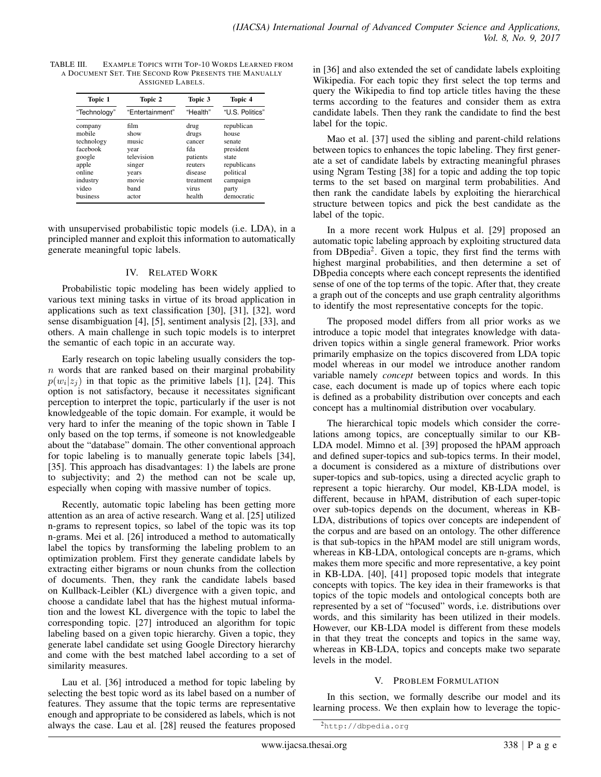| TABLE III. | EXAMPLE TOPICS WITH TOP-10 WORDS LEARNED FROM        |
|------------|------------------------------------------------------|
|            | A DOCUMENT SET. THE SECOND ROW PRESENTS THE MANUALLY |
|            | ASSIGNED LABELS.                                     |

| Topic 1      | Topic 2         | Topic 3   | Topic 4         |
|--------------|-----------------|-----------|-----------------|
| "Technology" | "Entertainment" | "Health"  | "U.S. Politics" |
| company      | film            | drug      | republican      |
| mobile       | show            | drugs     | house           |
| technology   | music           | cancer    | senate          |
| facebook     | year            | fda       | president       |
| google       | television      | patients  | state           |
| apple        | singer          | reuters   | republicans     |
| online       | years           | disease   | political       |
| industry     | movie           | treatment | campaign        |
| video        | band            | virus     | party           |
| business     | actor           | health    | democratic      |

with unsupervised probabilistic topic models (i.e. LDA), in a principled manner and exploit this information to automatically generate meaningful topic labels.

#### IV. RELATED WORK

Probabilistic topic modeling has been widely applied to various text mining tasks in virtue of its broad application in applications such as text classification [30], [31], [32], word sense disambiguation [4], [5], sentiment analysis [2], [33], and others. A main challenge in such topic models is to interpret the semantic of each topic in an accurate way.

Early research on topic labeling usually considers the top $n$  words that are ranked based on their marginal probability  $p(w_i|z_j)$  in that topic as the primitive labels [1], [24]. This option is not satisfactory, because it necessitates significant perception to interpret the topic, particularly if the user is not knowledgeable of the topic domain. For example, it would be very hard to infer the meaning of the topic shown in Table I only based on the top terms, if someone is not knowledgeable about the "database" domain. The other conventional approach for topic labeling is to manually generate topic labels [34], [35]. This approach has disadvantages: 1) the labels are prone to subjectivity; and 2) the method can not be scale up, especially when coping with massive number of topics.

Recently, automatic topic labeling has been getting more attention as an area of active research. Wang et al. [25] utilized n-grams to represent topics, so label of the topic was its top n-grams. Mei et al. [26] introduced a method to automatically label the topics by transforming the labeling problem to an optimization problem. First they generate candidate labels by extracting either bigrams or noun chunks from the collection of documents. Then, they rank the candidate labels based on Kullback-Leibler (KL) divergence with a given topic, and choose a candidate label that has the highest mutual information and the lowest KL divergence with the topic to label the corresponding topic. [27] introduced an algorithm for topic labeling based on a given topic hierarchy. Given a topic, they generate label candidate set using Google Directory hierarchy and come with the best matched label according to a set of similarity measures.

Lau et al. [36] introduced a method for topic labeling by selecting the best topic word as its label based on a number of features. They assume that the topic terms are representative enough and appropriate to be considered as labels, which is not always the case. Lau et al. [28] reused the features proposed in [36] and also extended the set of candidate labels exploiting Wikipedia. For each topic they first select the top terms and query the Wikipedia to find top article titles having the these terms according to the features and consider them as extra candidate labels. Then they rank the candidate to find the best label for the topic.

Mao et al. [37] used the sibling and parent-child relations between topics to enhances the topic labeling. They first generate a set of candidate labels by extracting meaningful phrases using Ngram Testing [38] for a topic and adding the top topic terms to the set based on marginal term probabilities. And then rank the candidate labels by exploiting the hierarchical structure between topics and pick the best candidate as the label of the topic.

In a more recent work Hulpus et al. [29] proposed an automatic topic labeling approach by exploiting structured data from DBpedia<sup>2</sup>. Given a topic, they first find the terms with highest marginal probabilities, and then determine a set of DBpedia concepts where each concept represents the identified sense of one of the top terms of the topic. After that, they create a graph out of the concepts and use graph centrality algorithms to identify the most representative concepts for the topic.

The proposed model differs from all prior works as we introduce a topic model that integrates knowledge with datadriven topics within a single general framework. Prior works primarily emphasize on the topics discovered from LDA topic model whereas in our model we introduce another random variable namely *concept* between topics and words. In this case, each document is made up of topics where each topic is defined as a probability distribution over concepts and each concept has a multinomial distribution over vocabulary.

The hierarchical topic models which consider the correlations among topics, are conceptually similar to our KB-LDA model. Mimno et al. [39] proposed the hPAM approach and defined super-topics and sub-topics terms. In their model, a document is considered as a mixture of distributions over super-topics and sub-topics, using a directed acyclic graph to represent a topic hierarchy. Our model, KB-LDA model, is different, because in hPAM, distribution of each super-topic over sub-topics depends on the document, whereas in KB-LDA, distributions of topics over concepts are independent of the corpus and are based on an ontology. The other difference is that sub-topics in the hPAM model are still unigram words, whereas in KB-LDA, ontological concepts are n-grams, which makes them more specific and more representative, a key point in KB-LDA. [40], [41] proposed topic models that integrate concepts with topics. The key idea in their frameworks is that topics of the topic models and ontological concepts both are represented by a set of "focused" words, i.e. distributions over words, and this similarity has been utilized in their models. However, our KB-LDA model is different from these models in that they treat the concepts and topics in the same way, whereas in KB-LDA, topics and concepts make two separate levels in the model.

#### V. PROBLEM FORMULATION

In this section, we formally describe our model and its learning process. We then explain how to leverage the topic-

<sup>2</sup>http://dbpedia.org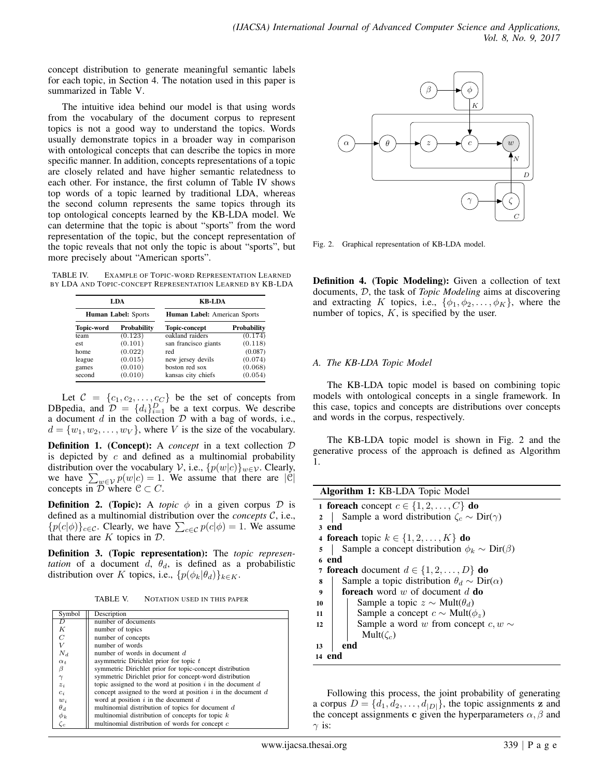concept distribution to generate meaningful semantic labels for each topic, in Section 4. The notation used in this paper is summarized in Table V.

The intuitive idea behind our model is that using words from the vocabulary of the document corpus to represent topics is not a good way to understand the topics. Words usually demonstrate topics in a broader way in comparison with ontological concepts that can describe the topics in more specific manner. In addition, concepts representations of a topic are closely related and have higher semantic relatedness to each other. For instance, the first column of Table IV shows top words of a topic learned by traditional LDA, whereas the second column represents the same topics through its top ontological concepts learned by the KB-LDA model. We can determine that the topic is about "sports" from the word representation of the topic, but the concept representation of the topic reveals that not only the topic is about "sports", but more precisely about "American sports".

TABLE IV. EXAMPLE OF TOPIC-WORD REPRESENTATION LEARNED BY LDA AND TOPIC-CONCEPT REPRESENTATION LEARNED BY KB-LDA

| LDA<br><b>Human Label: Sports</b> |         | <b>KB-LDA</b><br><b>Human Label:</b> American Sports |         |  |
|-----------------------------------|---------|------------------------------------------------------|---------|--|
|                                   |         |                                                      |         |  |
| team                              | (0.123) | oakland raiders                                      | (0.174) |  |
| est                               | (0.101) | san francisco giants                                 | (0.118) |  |
| home                              | (0.022) | red                                                  | (0.087) |  |
| league                            | (0.015) | new jersey devils                                    | (0.074) |  |
| games                             | (0.010) | boston red sox                                       | (0.068) |  |
| second                            | (0.010) | kansas city chiefs                                   | (0.054) |  |

Let  $C = \{c_1, c_2, \ldots, c_C\}$  be the set of concepts from DBpedia, and  $\mathcal{D} = \{d_i\}_{i=1}^D$  be a text corpus. We describe a document  $d$  in the collection  $D$  with a bag of words, i.e.,  $d = \{w_1, w_2, \dots, w_V\}$ , where V is the size of the vocabulary.

**Definition 1.** (Concept): A *concept* in a text collection  $D$ is depicted by  $c$  and defined as a multinomial probability distribution over the vocabulary V, i.e.,  $\{p(w|c)\}_{w\in\mathcal{V}}$ . Clearly, we have  $\sum_{w \in V} p(w|c) = 1$ . We assume that there are  $|C|$ concepts in  $D$  where  $C \subset C$ .

**Definition 2.** (Topic): A *topic*  $\phi$  in a given corpus  $\mathcal{D}$  is defined as a multinomial distribution over the *concepts* C, i.e.,  ${p(c|\phi)}_{c \in \mathcal{C}}$ . Clearly, we have  $\sum_{c \in \mathcal{C}} p(c|\phi) = 1$ . We assume that there are  $K$  topics in  $D$ .

Definition 3. (Topic representation): The *topic representation* of a document  $d, \theta_d$ , is defined as a probabilistic distribution over K topics, i.e.,  $\{p(\phi_k|\theta_d)\}_{k\in K}$ .

TABLE V. NOTATION USED IN THIS PAPER

| Symbol     | Description                                                      |
|------------|------------------------------------------------------------------|
| D          | number of documents                                              |
| Κ          | number of topics                                                 |
| C          | number of concepts                                               |
| V          | number of words                                                  |
| $N_d$      | number of words in document $d$                                  |
| $\alpha_t$ | asymmetric Dirichlet prior for topic $t$                         |
| β          | symmetric Dirichlet prior for topic-concept distribution         |
| $\gamma$   | symmetric Dirichlet prior for concept-word distribution          |
| $z_i$      | topic assigned to the word at position $i$ in the document $d$   |
| $c_i$      | concept assigned to the word at position $i$ in the document $d$ |
| $w_i$      | word at position $i$ in the document $d$                         |
| $\theta_d$ | multinomial distribution of topics for document d                |
| $\phi_k$   | multinomial distribution of concepts for topic $k$               |
| $\zeta_c$  | multinomial distribution of words for concept c                  |



Fig. 2. Graphical representation of KB-LDA model.

Definition 4. (Topic Modeling): Given a collection of text documents, D, the task of *Topic Modeling* aims at discovering and extracting K topics, i.e.,  $\{\phi_1, \phi_2, \dots, \phi_K\}$ , where the number of topics,  $K$ , is specified by the user.

#### *A. The KB-LDA Topic Model*

models with ontological concepts in a single framework. In The KB-LDA topic model is based on combining topic this case, topics and concepts are distributions over concepts and words in the corpus, respectively.

The KB-LDA topic model is shown in Fig. 2 and the generative process of the approach is defined as Algorithm 1.

| <b>Algorithm 1: KB-LDA</b> Topic Model                                         |
|--------------------------------------------------------------------------------|
| 1 foreach concept $c \in \{1, 2, \ldots, C\}$ do                               |
| Sample a word distribution $\zeta_c \sim \text{Dir}(\gamma)$<br>$\overline{2}$ |
| 3 end                                                                          |
| 4 foreach topic $k \in \{1, 2, \ldots, K\}$ do                                 |
| Sample a concept distribution $\phi_k \sim \text{Dir}(\beta)$<br>5             |
| 6 end                                                                          |
| 7 foreach document $d \in \{1, 2, , D\}$ do                                    |
| Sample a topic distribution $\theta_d \sim \text{Dir}(\alpha)$<br>8            |
| <b>foreach</b> word w of document d <b>do</b><br>9                             |
| Sample a topic $z \sim \text{Mult}(\theta_d)$<br>10                            |
| Sample a concept $c \sim Mult(\phi_z)$<br>11                                   |
| Sample a word w from concept $c, w \sim$<br>12                                 |
| Mult $(\zeta_c)$                                                               |
| end<br>13                                                                      |
| 14 end                                                                         |
|                                                                                |
|                                                                                |

Following this process, the joint probability of generating a corpus  $D = \{d_1, d_2, \ldots, d_{|D|}\}$ , the topic assignments z and the concept assignments c given the hyperparameters  $\alpha$ ,  $\beta$  and  $\gamma$  is: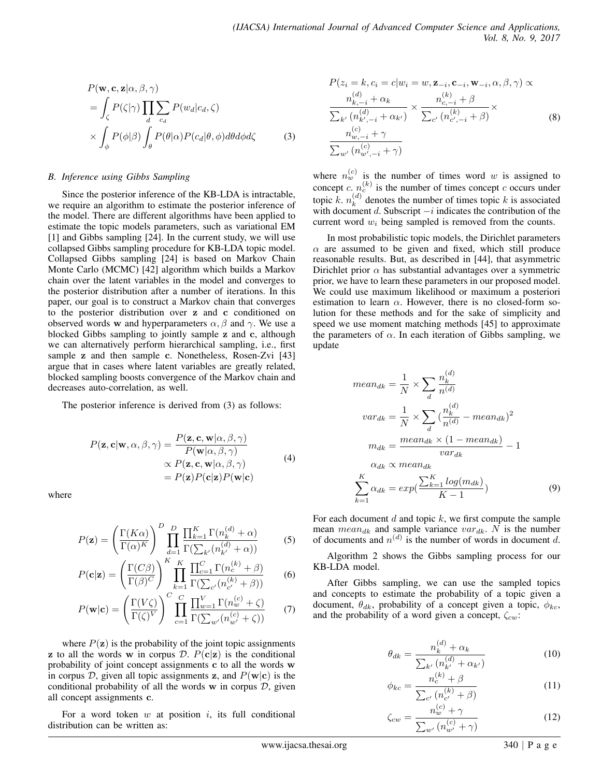$$
P(\mathbf{w}, \mathbf{c}, \mathbf{z} | \alpha, \beta, \gamma)
$$
  
=  $\int_{\zeta} P(\zeta | \gamma) \prod_{d} \sum_{c_d} P(w_d | c_d, \zeta)$   
 $\times \int_{\phi} P(\phi | \beta) \int_{\theta} P(\theta | \alpha) P(c_d | \theta, \phi) d\theta d\phi d\zeta$  (3)

#### *B. Inference using Gibbs Sampling*

Since the posterior inference of the KB-LDA is intractable, we require an algorithm to estimate the posterior inference of the model. There are different algorithms have been applied to estimate the topic models parameters, such as variational EM [1] and Gibbs sampling [24]. In the current study, we will use collapsed Gibbs sampling procedure for KB-LDA topic model. Collapsed Gibbs sampling [24] is based on Markov Chain Monte Carlo (MCMC) [42] algorithm which builds a Markov chain over the latent variables in the model and converges to the posterior distribution after a number of iterations. In this paper, our goal is to construct a Markov chain that converges to the posterior distribution over z and c conditioned on observed words w and hyperparameters  $\alpha$ ,  $\beta$  and  $\gamma$ . We use a blocked Gibbs sampling to jointly sample z and c, although we can alternatively perform hierarchical sampling, i.e., first sample z and then sample c. Nonetheless, Rosen-Zvi [43] argue that in cases where latent variables are greatly related, blocked sampling boosts convergence of the Markov chain and decreases auto-correlation, as well.

The posterior inference is derived from (3) as follows:

$$
P(\mathbf{z}, \mathbf{c} | \mathbf{w}, \alpha, \beta, \gamma) = \frac{P(\mathbf{z}, \mathbf{c}, \mathbf{w} | \alpha, \beta, \gamma)}{P(\mathbf{w} | \alpha, \beta, \gamma)}
$$
  
 
$$
\propto P(\mathbf{z}, \mathbf{c}, \mathbf{w} | \alpha, \beta, \gamma)
$$
  
= 
$$
P(\mathbf{z}) P(\mathbf{c} | \mathbf{z}) P(\mathbf{w} | \mathbf{c})
$$
 (4)

where

$$
P(\mathbf{z}) = \left(\frac{\Gamma(K\alpha)}{\Gamma(\alpha)^K}\right)^D \prod_{d=1}^D \frac{\prod_{k=1}^K \Gamma(n_k^{(d)} + \alpha)}{\Gamma(\sum_{k'} (n_{k'}^{(d)} + \alpha))}
$$
(5)

$$
P(\mathbf{c}|\mathbf{z}) = \left(\frac{\Gamma(C\beta)}{\Gamma(\beta)^C}\right)^K \prod_{k=1}^K \frac{\prod_{c=1}^C \Gamma(n_c^{(k)} + \beta)}{\Gamma(\sum_{c'} (n_{c'}^{(k)} + \beta))}
$$
(6)

$$
P(\mathbf{w}|\mathbf{c}) = \left(\frac{\Gamma(V\zeta)}{\Gamma(\zeta)^V}\right)^C \prod_{c=1}^C \frac{\prod_{w=1}^V \Gamma(n_w^{(c)} + \zeta)}{\Gamma(\sum_{w'} (n_{w'}^{(c)} + \zeta))}
$$
(7)

where  $P(z)$  is the probability of the joint topic assignments z to all the words w in corpus D.  $P(c|z)$  is the conditional probability of joint concept assignments c to all the words w in corpus D, given all topic assignments z, and  $P(\mathbf{w}|\mathbf{c})$  is the conditional probability of all the words  $w$  in corpus  $D$ , given all concept assignments c.

For a word token  $w$  at position  $i$ , its full conditional distribution can be written as:

$$
P(z_i = k, c_i = c | w_i = w, \mathbf{z}_{-i}, \mathbf{c}_{-i}, \mathbf{w}_{-i}, \alpha, \beta, \gamma) \propto
$$

$$
\frac{n_{k,-i}^{(d)} + \alpha_k}{\sum_{k'} (n_{k',-i}^{(d)} + \alpha_{k'})} \times \frac{n_{c,-i}^{(k)} + \beta}{\sum_{c'} (n_{c',-i}^{(k)} + \beta)} \times
$$

$$
\frac{n_{w,-i}^{(c)} + \gamma}{\sum_{w'} (n_{w',-i}^{(c)} + \gamma)}
$$
(8)

where  $n_w^{(c)}$  is the number of times word w is assigned to concept c.  $n_c^{(k)}$  is the number of times concept c occurs under topic  $\hat{k}$ .  $n_k^{(d)}$  $k_k^{(a)}$  denotes the number of times topic k is associated with document d. Subscript  $-i$  indicates the contribution of the current word  $w_i$  being sampled is removed from the counts.

In most probabilistic topic models, the Dirichlet parameters  $\alpha$  are assumed to be given and fixed, which still produce reasonable results. But, as described in [44], that asymmetric Dirichlet prior  $\alpha$  has substantial advantages over a symmetric prior, we have to learn these parameters in our proposed model. We could use maximum likelihood or maximum a posteriori estimation to learn  $\alpha$ . However, there is no closed-form solution for these methods and for the sake of simplicity and speed we use moment matching methods [45] to approximate the parameters of  $\alpha$ . In each iteration of Gibbs sampling, we update

$$
mean_{dk} = \frac{1}{N} \times \sum_{d} \frac{n_k^{(d)}}{n^{(d)}}
$$

$$
var_{dk} = \frac{1}{N} \times \sum_{d} \left(\frac{n_k^{(d)}}{n^{(d)}} - mean_{dk}\right)^2
$$

$$
m_{dk} = \frac{mean_{dk} \times (1 - mean_{dk})}{var_{dk}} - 1
$$

$$
\frac{\alpha_{dk} \propto mean_{dk}}{\sum_{k=1}^{K} \alpha_{dk}} = exp\left(\frac{\sum_{k=1}^{K} log(m_{dk})}{K - 1}\right)
$$
(9)

For each document  $d$  and topic  $k$ , we first compute the sample mean  $mean_{dk}$  and sample variance  $var_{dk}$ . N is the number of documents and  $n^{(d)}$  is the number of words in document d.

Algorithm 2 shows the Gibbs sampling process for our KB-LDA model.

After Gibbs sampling, we can use the sampled topics and concepts to estimate the probability of a topic given a document,  $\theta_{dk}$ , probability of a concept given a topic,  $\phi_{kc}$ , and the probability of a word given a concept,  $\zeta_{cw}$ :

$$
\theta_{dk} = \frac{n_k^{(d)} + \alpha_k}{\sum_{k'} (n_{k'}^{(d)} + \alpha_{k'})}
$$
(10)

$$
\phi_{kc} = \frac{n_c^{(k)} + \beta}{\sum_{c'} (n_{c'}^{(k)} + \beta)}
$$
(11)

$$
\zeta_{cw} = \frac{n_w^{(c)} + \gamma}{\sum_{w'} (n_{w'}^{(c)} + \gamma)}
$$
(12)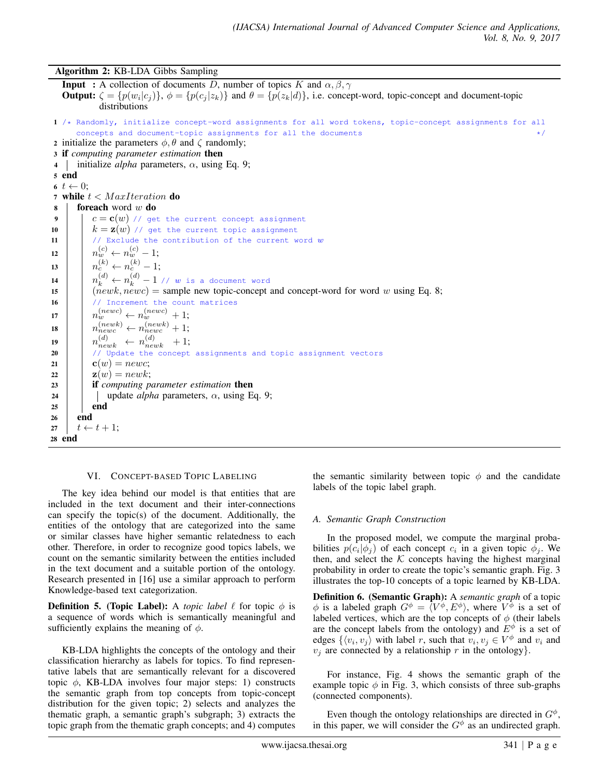Algorithm 2: KB-LDA Gibbs Sampling

**Input** : A collection of documents D, number of topics K and  $\alpha, \beta, \gamma$ **Output:**  $\zeta = \{p(w_i|c_j)\}, \ \phi = \{p(c_j|z_k)\}\$ and  $\theta = \{p(z_k|d)\}\$ , i.e. concept-word, topic-concept and document-topic distributions 1 /\* Randomly, initialize concept-word assignments for all word tokens, topic-concept assignments for all concepts and document-topic assignments for all the documents 2 initialize the parameters  $\phi$ ,  $\theta$  and  $\zeta$  randomly; <sup>3</sup> if *computing parameter estimation* then 4 initialize *alpha* parameters,  $\alpha$ , using Eq. 9; 5 end 6  $t \leftarrow 0$ : 7 while  $t <$  MaxIteration do  $\bf{s}$  | foreach word w do <sup>9</sup> c = c(w) // get the current concept assignment 10  $k = \mathbf{z}(w)$  // get the current topic assignment 11  $\vert$  // Exclude the contribution of the current word w  $n_w^{(c)} \leftarrow n_w^{(c)} - 1;$ 13  $\Big| n_c^{(k)} \leftarrow n_c^{(k)} - 1;$ 14  $\left| \begin{array}{c} n_k^{(d)} \leftarrow n_k^{(d)} - 1 \end{array} \right|$  //  $w$  is a document word 15 (newk,  $newc$ ) = sample new topic-concept and concept-word for word w using Eq. 8; 16 | // Increment the count matrices  $n_w^{(newc)} \leftarrow n_w^{(newc)} + 1;$ 18  $n_{newc}^{(newk)} \leftarrow n_{newc}^{(newk)} + 1;$ 19  $\begin{array}{|l|} \hline \end{array} \begin{array}{c} \hline \end{array} \begin{array}{c} \hline \end{array} \begin{array}{c} \hline \end{array} \begin{array}{c} \hline \end{array} \begin{array}{c} \hline \end{array} \begin{array}{c} \hline \end{array} \begin{array}{c} \hline \end{array} \begin{array}{c} \hline \end{array} \begin{array}{c} \hline \end{array} \begin{array}{c} \hline \end{array} \begin{array}{c} \hline \end{array} \begin{array}{c} \hline \end{array} \begin{array}{c} \hline \end{array} \begin{array}{$ 20 // Update the concept assignments and topic assignment vectors 21 |  ${\bf c}(w) = newc;$ 22 **z** $(w) = newk;$ 23 **if** *computing parameter estimation* **then** 24 | | update *alpha* parameters,  $\alpha$ , using Eq. 9;  $25$  end <sup>26</sup> end  $27 \mid t \leftarrow t + 1;$ <sup>28</sup> end

#### VI. CONCEPT-BASED TOPIC LABELING

The key idea behind our model is that entities that are included in the text document and their inter-connections can specify the topic(s) of the document. Additionally, the entities of the ontology that are categorized into the same or similar classes have higher semantic relatedness to each other. Therefore, in order to recognize good topics labels, we count on the semantic similarity between the entities included in the text document and a suitable portion of the ontology. Research presented in [16] use a similar approach to perform Knowledge-based text categorization.

**Definition 5. (Topic Label):** A *topic label*  $\ell$  for topic  $\phi$  is a sequence of words which is semantically meaningful and sufficiently explains the meaning of  $\phi$ .

KB-LDA highlights the concepts of the ontology and their classification hierarchy as labels for topics. To find representative labels that are semantically relevant for a discovered topic  $\phi$ , KB-LDA involves four major steps: 1) constructs the semantic graph from top concepts from topic-concept distribution for the given topic; 2) selects and analyzes the thematic graph, a semantic graph's subgraph; 3) extracts the topic graph from the thematic graph concepts; and 4) computes

the semantic similarity between topic  $\phi$  and the candidate labels of the topic label graph.

#### *A. Semantic Graph Construction*

In the proposed model, we compute the marginal probabilities  $p(c_i | \phi_j)$  of each concept  $c_i$  in a given topic  $\phi_j$ . We then, and select the  $K$  concepts having the highest marginal probability in order to create the topic's semantic graph. Fig. 3 illustrates the top-10 concepts of a topic learned by KB-LDA.

Definition 6. (Semantic Graph): A *semantic graph* of a topic  $\phi$  is a labeled graph  $G^{\phi} = \langle V^{\phi}, E^{\phi} \rangle$ , where  $V^{\phi}$  is a set of labeled vertices, which are the top concepts of  $\phi$  (their labels are the concept labels from the ontology) and  $E^{\phi}$  is a set of edges  $\{\langle v_i, v_j \rangle \text{ with label } r \text{, such that } v_i, v_j \in V^\phi \text{ and } v_i \text{ and } v_j \text{.} \}$  $v_i$  are connected by a relationship r in the ontology.

For instance, Fig. 4 shows the semantic graph of the example topic  $\phi$  in Fig. 3, which consists of three sub-graphs (connected components).

Even though the ontology relationships are directed in  $G^{\phi}$ , in this paper, we will consider the  $G^{\phi}$  as an undirected graph.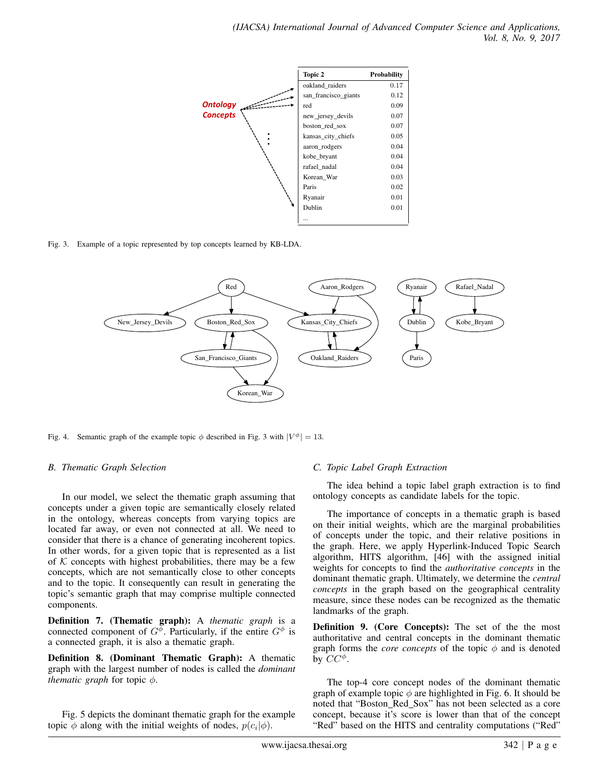

Fig. 3. Example of a topic represented by top concepts learned by KB-LDA.



Fig. 4. Semantic graph of the example topic  $\phi$  described in Fig. 3 with  $|V^{\phi}| = 13$ .

#### *B. Thematic Graph Selection*

In our model, we select the thematic graph assuming that concepts under a given topic are semantically closely related in the ontology, whereas concepts from varying topics are located far away, or even not connected at all. We need to consider that there is a chance of generating incoherent topics. In other words, for a given topic that is represented as a list of  $K$  concepts with highest probabilities, there may be a few concepts, which are not semantically close to other concepts and to the topic. It consequently can result in generating the topic's semantic graph that may comprise multiple connected components.

Definition 7. (Thematic graph): A *thematic graph* is a connected component of  $G^{\phi}$ . Particularly, if the entire  $G^{\phi}$  is a connected graph, it is also a thematic graph.

Definition 8. (Dominant Thematic Graph): A thematic graph with the largest number of nodes is called the *dominant thematic graph* for topic  $\phi$ .

Fig. 5 depicts the dominant thematic graph for the example topic  $\phi$  along with the initial weights of nodes,  $p(c_i|\phi)$ .

#### *C. Topic Label Graph Extraction*

The idea behind a topic label graph extraction is to find ontology concepts as candidate labels for the topic.

The importance of concepts in a thematic graph is based on their initial weights, which are the marginal probabilities of concepts under the topic, and their relative positions in the graph. Here, we apply Hyperlink-Induced Topic Search algorithm, HITS algorithm, [46] with the assigned initial weights for concepts to find the *authoritative concepts* in the dominant thematic graph. Ultimately, we determine the *central concepts* in the graph based on the geographical centrality measure, since these nodes can be recognized as the thematic landmarks of the graph.

Definition 9. (Core Concepts): The set of the the most authoritative and central concepts in the dominant thematic graph forms the *core concepts* of the topic  $\phi$  and is denoted by  $CC^{\phi}$ .

The top-4 core concept nodes of the dominant thematic graph of example topic  $\phi$  are highlighted in Fig. 6. It should be noted that "Boston Red Sox" has not been selected as a core concept, because it's score is lower than that of the concept "Red" based on the HITS and centrality computations ("Red"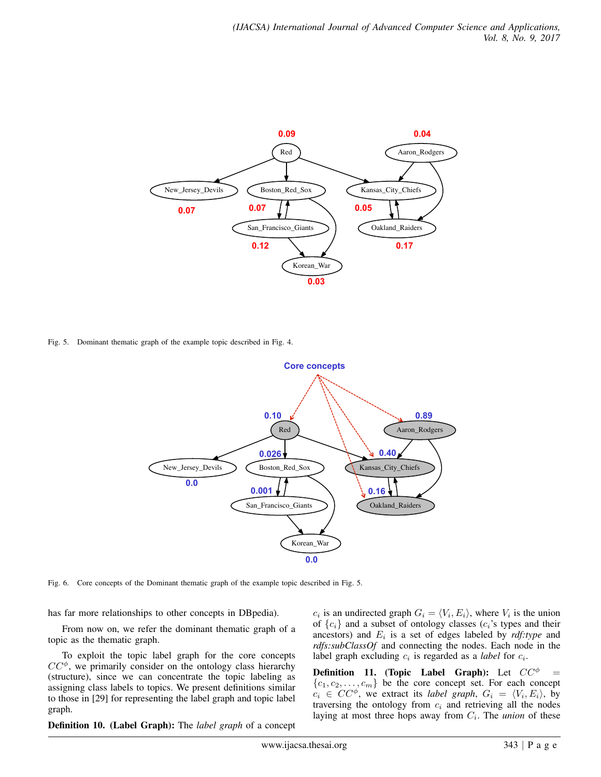

Fig. 5. Dominant thematic graph of the example topic described in Fig. 4.



Fig. 6. Core concepts of the Dominant thematic graph of the example topic described in Fig. 5.

has far more relationships to other concepts in DBpedia).

From now on, we refer the dominant thematic graph of a topic as the thematic graph.

To exploit the topic label graph for the core concepts  $CC^{\phi}$ , we primarily consider on the ontology class hierarchy (structure), since we can concentrate the topic labeling as assigning class labels to topics. We present definitions similar to those in [29] for representing the label graph and topic label graph.

Definition 10. (Label Graph): The *label graph* of a concept

 $c_i$  is an undirected graph  $G_i = \langle V_i, E_i \rangle$ , where  $V_i$  is the union of  ${c_i}$  and a subset of ontology classes  $(c_i)$ 's types and their ancestors) and  $E_i$  is a set of edges labeled by  $\textit{rdf:type}$  and *rdfs:subClassOf* and connecting the nodes. Each node in the label graph excluding  $c_i$  is regarded as a *label* for  $c_i$ .

**Definition 11.** (Topic Label Graph): Let  $CC^{\phi}$  =  $\{c_1, c_2, \ldots, c_m\}$  be the core concept set. For each concept  $c_i \in CC^{\phi}$ , we extract its *label graph*,  $G_i = \langle V_i, E_i \rangle$ , by traversing the ontology from  $c_i$  and retrieving all the nodes laying at most three hops away from  $C_i$ . The *union* of these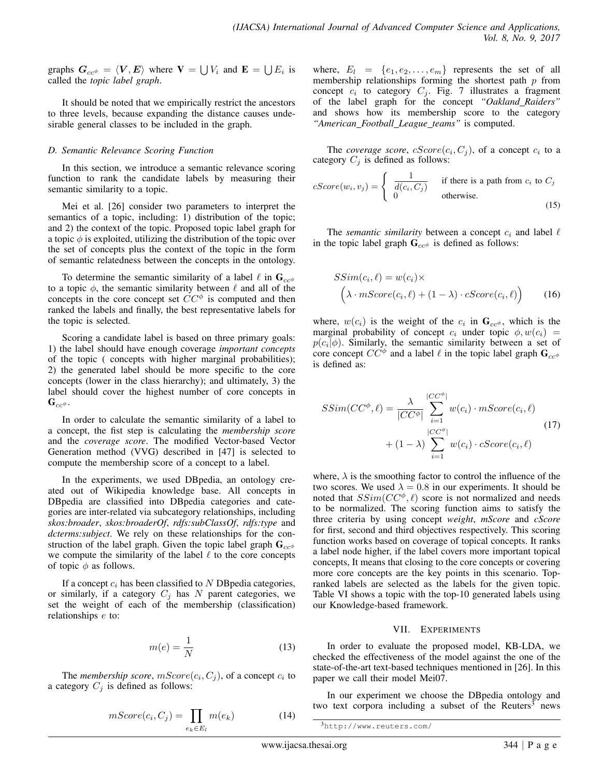graphs  $\bm{G}_{cc\phi} = \langle \bm{V}, \bm{E} \rangle$  where  $\bm{\mathrm{V}} = \bigcup V_i$  and  $\bm{\mathrm{E}} = \bigcup E_i$  is called the *topic label graph*.

It should be noted that we empirically restrict the ancestors to three levels, because expanding the distance causes undesirable general classes to be included in the graph.

#### *D. Semantic Relevance Scoring Function*

In this section, we introduce a semantic relevance scoring function to rank the candidate labels by measuring their semantic similarity to a topic.

Mei et al. [26] consider two parameters to interpret the semantics of a topic, including: 1) distribution of the topic; and 2) the context of the topic. Proposed topic label graph for a topic  $\phi$  is exploited, utilizing the distribution of the topic over the set of concepts plus the context of the topic in the form of semantic relatedness between the concepts in the ontology.

To determine the semantic similarity of a label  $\ell$  in  $\mathbf{G}_{cc\phi}$ to a topic  $\phi$ , the semantic similarity between  $\ell$  and all of the concepts in the core concept set  $\dot{C}C^{\phi}$  is computed and then ranked the labels and finally, the best representative labels for the topic is selected.

Scoring a candidate label is based on three primary goals: 1) the label should have enough coverage *important concepts* of the topic ( concepts with higher marginal probabilities); 2) the generated label should be more specific to the core concepts (lower in the class hierarchy); and ultimately, 3) the label should cover the highest number of core concepts in  $\mathbf{G}_{cc\phi}$ .

In order to calculate the semantic similarity of a label to a concept, the fist step is calculating the *membership score* and the *coverage score*. The modified Vector-based Vector Generation method (VVG) described in [47] is selected to compute the membership score of a concept to a label.

In the experiments, we used DBpedia, an ontology created out of Wikipedia knowledge base. All concepts in DBpedia are classified into DBpedia categories and categories are inter-related via subcategory relationships, including *skos:broader*, *skos:broaderOf*, *rdfs:subClassOf*, *rdfs:type* and *dcterms:subject*. We rely on these relationships for the construction of the label graph. Given the topic label graph  $\mathbf{G}_{cc\phi}$ we compute the similarity of the label  $\ell$  to the core concepts of topic  $\phi$  as follows.

If a concept  $c_i$  has been classified to N DB pedia categories, or similarly, if a category  $C_i$  has N parent categories, we set the weight of each of the membership (classification) relationships e to:

$$
m(e) = \frac{1}{N} \tag{13}
$$

The *membership score*,  $mScore(c_i, C_j)$ , of a concept  $c_i$  to a category  $C_j$  is defined as follows:

$$
mScore(c_i, C_j) = \prod_{e_k \in E_l} m(e_k)
$$
 (14)

where,  $E_l = \{e_1, e_2, \ldots, e_m\}$  represents the set of all membership relationships forming the shortest path  $p$  from concept  $c_i$  to category  $C_j$ . Fig. 7 illustrates a fragment of the label graph for the concept *"Oakland Raiders"* and shows how its membership score to the category *"American Football League teams"* is computed.

The *coverage score*,  $cScore(c_i, C_j)$ , of a concept  $c_i$  to a category  $C_j$  is defined as follows:

$$
cScore(w_i, v_j) = \begin{cases} \frac{1}{d(c_i, C_j)} & \text{if there is a path from } c_i \text{ to } C_j\\ 0 & \text{otherwise.} \end{cases}
$$
(15)

The *semantic similarity* between a concept  $c_i$  and label  $\ell$ in the topic label graph  $\mathbf{G}_{cc\phi}$  is defined as follows:

$$
SSim(c_i, \ell) = w(c_i) \times \left(\lambda \cdot mScore(c_i, \ell) + (1 - \lambda) \cdot cScore(c_i, \ell)\right)
$$
 (16)

where,  $w(c_i)$  is the weight of the  $c_i$  in  $\mathbf{G}_{cc\phi}$ , which is the marginal probability of concept  $c_i$  under topic  $\phi, w(c_i)$  =  $p(c_i|\phi)$ . Similarly, the semantic similarity between a set of core concept  $CC^{\phi}$  and a label  $\ell$  in the topic label graph  $\mathbf{G}_{cc\phi}$ is defined as:

$$
SSim(CC^{\phi}, \ell) = \frac{\lambda}{|CC^{\phi}|} \sum_{i=1}^{|CC^{\phi}|} w(c_i) \cdot mScore(c_i, \ell)
$$
  
+  $(1 - \lambda) \sum_{i=1}^{|CC^{\phi}|} w(c_i) \cdot cScore(c_i, \ell)$  (17)

where,  $\lambda$  is the smoothing factor to control the influence of the two scores. We used  $\lambda = 0.8$  in our experiments. It should be noted that  $SSim(CC^{\phi}, \ell)$  score is not normalized and needs to be normalized. The scoring function aims to satisfy the three criteria by using concept *weight*, *mScore* and *cScore* for first, second and third objectives respectively. This scoring function works based on coverage of topical concepts. It ranks a label node higher, if the label covers more important topical concepts, It means that closing to the core concepts or covering more core concepts are the key points in this scenario. Topranked labels are selected as the labels for the given topic. Table VI shows a topic with the top-10 generated labels using our Knowledge-based framework.

#### VII. EXPERIMENTS

In order to evaluate the proposed model, KB-LDA, we checked the effectiveness of the model against the one of the state-of-the-art text-based techniques mentioned in [26]. In this paper we call their model Mei07.

In our experiment we choose the DBpedia ontology and two text corpora including a subset of the Reuters<sup>3</sup> news

```
3http://www.reuters.com/
```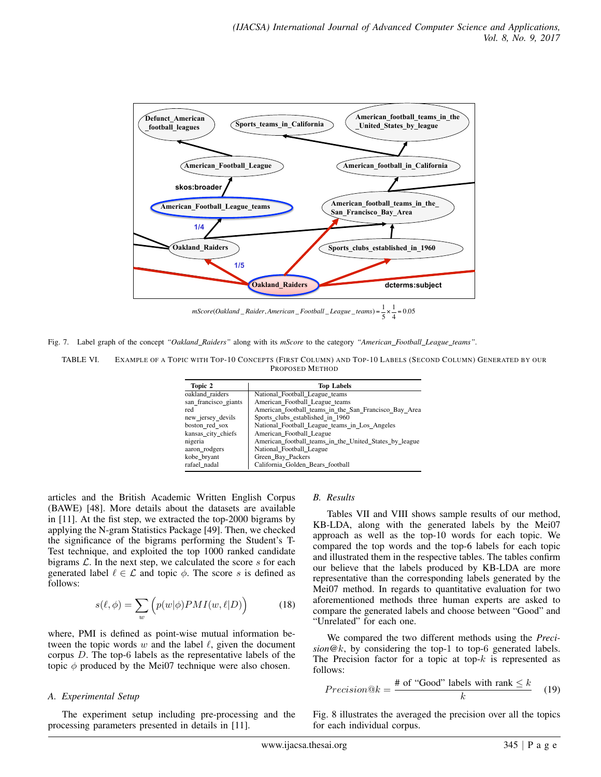

*mScore*(*Oakland* \_ *Raider*, *American* \_ *Football* \_ *League*\_ *teams*) <sup>=</sup> <sup>1</sup> 5 × 1  $\frac{1}{4}$  = 0.05

Fig. 7. Label graph of the concept *"Oakland Raiders"* along with its *mScore* to the category *"American Football League teams"*.

| TABLE VI. | EXAMPLE OF A TOPIC WITH TOP-10 CONCEPTS (FIRST COLUMN) AND TOP-10 LABELS (SECOND COLUMN) GENERATED BY OUR |
|-----------|-----------------------------------------------------------------------------------------------------------|
|           | PROPOSED METHOD                                                                                           |

| <b>Top Labels</b>                                      |
|--------------------------------------------------------|
| National Football League teams                         |
| American Football League teams                         |
| American_football_teams_in_the_San_Francisco_Bay_Area  |
| Sports clubs established in 1960                       |
| National Football League teams in Los Angeles          |
| American Football League                               |
| American football teams in the United States by league |
| National Football League                               |
| Green Bay Packers                                      |
| California Golden Bears football                       |
|                                                        |

articles and the British Academic Written English Corpus (BAWE) [48]. More details about the datasets are available in [11]. At the fist step, we extracted the top-2000 bigrams by applying the N-gram Statistics Package [49]. Then, we checked the significance of the bigrams performing the Student's T-Test technique, and exploited the top 1000 ranked candidate bigrams  $\mathcal{L}$ . In the next step, we calculated the score s for each generated label  $\ell \in \mathcal{L}$  and topic  $\phi$ . The score s is defined as follows:

$$
s(\ell, \phi) = \sum_{w} \left( p(w|\phi) PMI(w, \ell|D) \right)
$$
 (18)

where, PMI is defined as point-wise mutual information between the topic words w and the label  $\ell$ , given the document corpus D. The top-6 labels as the representative labels of the topic  $\phi$  produced by the Mei07 technique were also chosen.

#### *A. Experimental Setup*

The experiment setup including pre-processing and the processing parameters presented in details in [11].

#### *B. Results*

Tables VII and VIII shows sample results of our method, KB-LDA, along with the generated labels by the Mei07 approach as well as the top-10 words for each topic. We compared the top words and the top-6 labels for each topic and illustrated them in the respective tables. The tables confirm our believe that the labels produced by KB-LDA are more representative than the corresponding labels generated by the Mei07 method. In regards to quantitative evaluation for two aforementioned methods three human experts are asked to compare the generated labels and choose between "Good" and "Unrelated" for each one.

We compared the two different methods using the *Precision*@k, by considering the top-1 to top-6 generated labels. The Precision factor for a topic at top- $k$  is represented as follows:

$$
Precision@k = \frac{\text{\# of "Good" labels with rank} \le k}{k} \quad (19)
$$

Fig. 8 illustrates the averaged the precision over all the topics for each individual corpus.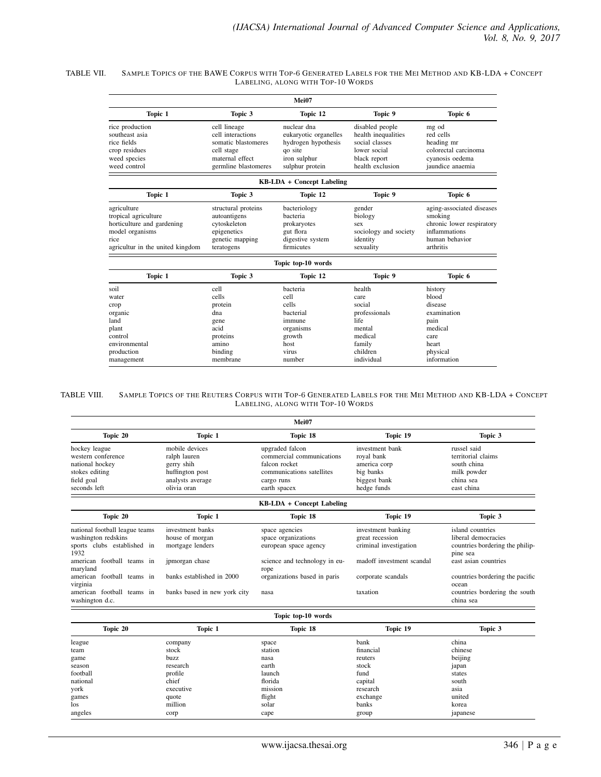#### TABLE VII. SAMPLE TOPICS OF THE BAWE CORPUS WITH TOP-6 GENERATED LABELS FOR THE MEI METHOD AND KB-LDA + CONCEPT LABELING, ALONG WITH TOP-10 WORDS

|                                                                                                                                  |                                                                                                                   | Mei07                                                                                                     |                                                                                                              |                                                                                                                   |
|----------------------------------------------------------------------------------------------------------------------------------|-------------------------------------------------------------------------------------------------------------------|-----------------------------------------------------------------------------------------------------------|--------------------------------------------------------------------------------------------------------------|-------------------------------------------------------------------------------------------------------------------|
| Topic 1                                                                                                                          | Topic 3                                                                                                           | Topic 12                                                                                                  | Topic 9                                                                                                      | Topic 6                                                                                                           |
| rice production<br>southeast asia<br>rice fields<br>crop residues<br>weed species<br>weed control                                | cell lineage<br>cell interactions<br>somatic blastomeres<br>cell stage<br>maternal effect<br>germline blastomeres | nuclear dna<br>eukaryotic organelles<br>hydrogen hypothesis<br>qo site<br>iron sulphur<br>sulphur protein | disabled people<br>health inequalities<br>social classes<br>lower social<br>black report<br>health exclusion | mg od<br>red cells<br>heading mr<br>colorectal carcinoma<br>cyanosis oedema<br>jaundice anaemia                   |
|                                                                                                                                  |                                                                                                                   | <b>KB-LDA + Concept Labeling</b>                                                                          |                                                                                                              |                                                                                                                   |
| Topic 1                                                                                                                          | Topic 3                                                                                                           | Topic 12                                                                                                  | Topic 9                                                                                                      | Topic 6                                                                                                           |
| agriculture<br>tropical agriculture<br>horticulture and gardening<br>model organisms<br>rice<br>agricultur in the united kingdom | structural proteins<br>autoantigens<br>cvtoskeleton<br>epigenetics<br>genetic mapping<br>teratogens               | bacteriology<br>bacteria<br>prokaryotes<br>gut flora<br>digestive system<br>firmicutes                    | gender<br>biology<br>sex<br>sociology and society<br>identity<br>sexuality                                   | aging-associated diseases<br>smoking<br>chronic lower respiratory<br>inflammations<br>human behavior<br>arthritis |
|                                                                                                                                  |                                                                                                                   | Topic top-10 words                                                                                        |                                                                                                              |                                                                                                                   |
| Topic 1                                                                                                                          | Topic 3                                                                                                           | Topic 12                                                                                                  | Topic 9                                                                                                      | Topic 6                                                                                                           |
| soil<br>water<br>crop                                                                                                            | cell<br>cells<br>protein                                                                                          | bacteria<br>cell<br>cells                                                                                 | health<br>care<br>social                                                                                     | history<br>blood<br>disease                                                                                       |
| organic<br>land<br>plant                                                                                                         | dna<br>gene<br>acid                                                                                               | bacterial<br>immune<br>organisms                                                                          | professionals<br>life<br>mental                                                                              | examination<br>pain<br>medical                                                                                    |
| control<br>environmental<br>production                                                                                           | proteins<br>amino<br>binding                                                                                      | growth<br>host<br>virus                                                                                   | medical<br>family<br>children                                                                                | care<br>heart<br>physical                                                                                         |
| management                                                                                                                       | membrane                                                                                                          | number                                                                                                    | individual                                                                                                   | information                                                                                                       |

#### TABLE VIII. SAMPLE TOPICS OF THE REUTERS CORPUS WITH TOP-6 GENERATED LABELS FOR THE MEI METHOD AND KB-LDA + CONCEPT LABELING, ALONG WITH TOP-10 WORDS

| Mei07                                                                                                                                        |                                                                                                    |                                                                                                                          |                                                                                              |                                                                                                                |  |  |
|----------------------------------------------------------------------------------------------------------------------------------------------|----------------------------------------------------------------------------------------------------|--------------------------------------------------------------------------------------------------------------------------|----------------------------------------------------------------------------------------------|----------------------------------------------------------------------------------------------------------------|--|--|
| Topic 20                                                                                                                                     | Topic 1                                                                                            | Topic 18                                                                                                                 | Topic 19                                                                                     | Topic 3                                                                                                        |  |  |
| hockey league<br>western conference<br>national hockey<br>stokes editing<br>field goal<br>seconds left                                       | mobile devices<br>ralph lauren<br>gerry shih<br>huffington post<br>analysts average<br>olivia oran | upgraded falcon<br>commercial communications<br>falcon rocket<br>communications satellites<br>cargo runs<br>earth spacex | investment bank<br>royal bank<br>america corp<br>big banks<br>biggest bank<br>hedge funds    | russel said<br>territorial claims<br>south china<br>milk powder<br>china sea<br>east china                     |  |  |
| KB-LDA + Concept Labeling                                                                                                                    |                                                                                                    |                                                                                                                          |                                                                                              |                                                                                                                |  |  |
| Topic 20                                                                                                                                     | Topic 1                                                                                            | Topic 18                                                                                                                 | Topic 19                                                                                     | Topic 3                                                                                                        |  |  |
| national football league teams<br>washington redskins<br>clubs established in<br>sports<br>1932<br>football teams in<br>american<br>maryland | investment banks<br>house of morgan<br>mortgage lenders<br>jpmorgan chase                          | space agencies<br>space organizations<br>european space agency<br>science and technology in eu-<br>rope                  | investment banking<br>great recession<br>criminal investigation<br>madoff investment scandal | island countries<br>liberal democracies<br>countries bordering the philip-<br>pine sea<br>east asian countries |  |  |
| football teams in<br>american<br>virginia<br>american football teams in<br>washington d.c.                                                   | banks established in 2000<br>banks based in new york city                                          | organizations based in paris<br>nasa                                                                                     | corporate scandals<br>taxation                                                               | countries bordering the pacific<br>ocean<br>countries bordering the south<br>china sea                         |  |  |

#### Topic top-10 words

| Topic 20 | Topic 1   | Topic 18 | Topic 19  | Topic 3  |
|----------|-----------|----------|-----------|----------|
| league   | company   | space    | bank      | china    |
| team     | stock     | station  | financial | chinese  |
| game     | buzz      | nasa     | reuters   | beijing  |
| season   | research  | earth    | stock     | japan    |
| football | profile   | launch   | fund      | states   |
| national | chief     | florida  | capital   | south    |
| york     | executive | mission  | research  | asia     |
| games    | quote     | flight   | exchange  | united   |
| los      | million   | solar    | banks     | korea    |
| angeles  | corp      | cape     | group     | japanese |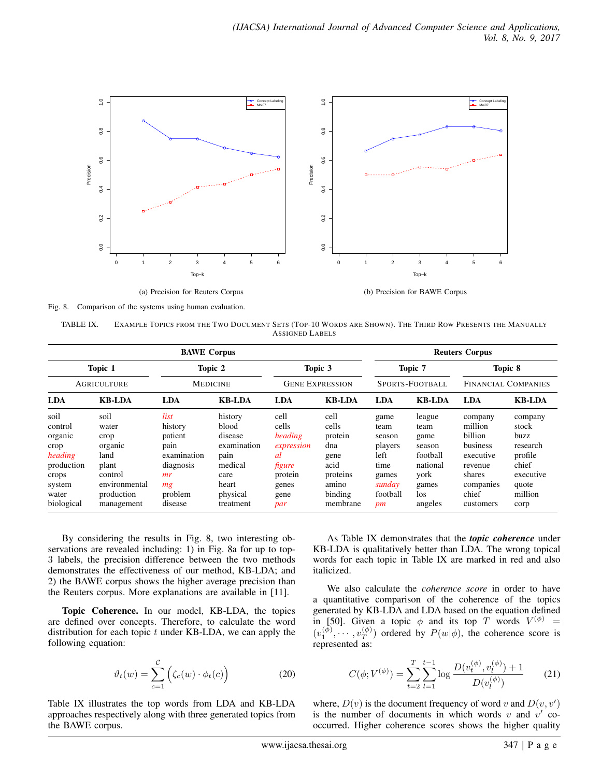

Fig. 8. Comparison of the systems using human evaluation.

| TABLE IX.       | EXAMPLE TOPICS FROM THE TWO DOCUMENT SETS (TOP-10 WORDS ARE SHOWN). THE THIRD ROW PRESENTS THE MANUALLY |  |  |  |  |  |  |
|-----------------|---------------------------------------------------------------------------------------------------------|--|--|--|--|--|--|
| ASSIGNED LABELS |                                                                                                         |  |  |  |  |  |  |

| <b>BAWE</b> Corpus                                                                                    |                                                                                                           |                                                                                                  |                                                                                                         |                                                                                           | <b>Reuters Corpus</b>                                                                       |                                                                                        |                                                                                             |                                                                                                                |                                                                                                   |
|-------------------------------------------------------------------------------------------------------|-----------------------------------------------------------------------------------------------------------|--------------------------------------------------------------------------------------------------|---------------------------------------------------------------------------------------------------------|-------------------------------------------------------------------------------------------|---------------------------------------------------------------------------------------------|----------------------------------------------------------------------------------------|---------------------------------------------------------------------------------------------|----------------------------------------------------------------------------------------------------------------|---------------------------------------------------------------------------------------------------|
| Topic 1<br><b>AGRICULTURE</b>                                                                         |                                                                                                           | Topic 2<br><b>MEDICINE</b>                                                                       |                                                                                                         | Topic 3<br><b>GENE EXPRESSION</b>                                                         |                                                                                             | Topic 7<br>SPORTS-FOOTBALL                                                             |                                                                                             | Topic 8<br>FINANCIAL COMPANIES                                                                                 |                                                                                                   |
|                                                                                                       |                                                                                                           |                                                                                                  |                                                                                                         |                                                                                           |                                                                                             |                                                                                        |                                                                                             |                                                                                                                |                                                                                                   |
| soil<br>control<br>organic<br>crop<br>heading<br>production<br>crops<br>system<br>water<br>biological | soil<br>water<br>crop<br>organic<br>land<br>plant<br>control<br>environmental<br>production<br>management | list<br>history<br>patient<br>pain<br>examination<br>diagnosis<br>mr<br>mg<br>problem<br>disease | history<br>blood<br>disease<br>examination<br>pain<br>medical<br>care<br>heart<br>physical<br>treatment | cell<br>cells<br>heading<br>expression<br>al<br>figure<br>protein<br>genes<br>gene<br>par | cell<br>cells<br>protein<br>dna<br>gene<br>acid<br>proteins<br>amino<br>binding<br>membrane | game<br>team<br>season<br>players<br>left<br>time<br>games<br>sunday<br>football<br>pm | league<br>team<br>game<br>season<br>football<br>national<br>york<br>games<br>los<br>angeles | company<br>million<br>billion<br>business<br>executive<br>revenue<br>shares<br>companies<br>chief<br>customers | company<br>stock<br>buzz<br>research<br>profile<br>chief<br>executive<br>quote<br>million<br>corp |

By considering the results in Fig. 8, two interesting observations are revealed including: 1) in Fig. 8a for up to top-3 labels, the precision difference between the two methods demonstrates the effectiveness of our method, KB-LDA; and 2) the BAWE corpus shows the higher average precision than the Reuters corpus. More explanations are available in [11].

Topic Coherence. In our model, KB-LDA, the topics are defined over concepts. Therefore, to calculate the word distribution for each topic  $t$  under KB-LDA, we can apply the following equation:

$$
\vartheta_t(w) = \sum_{c=1}^{\mathcal{C}} \left( \zeta_c(w) \cdot \phi_t(c) \right)
$$
 (20)

Table IX illustrates the top words from LDA and KB-LDA approaches respectively along with three generated topics from the BAWE corpus.

As Table IX demonstrates that the *topic coherence* under KB-LDA is qualitatively better than LDA. The wrong topical words for each topic in Table IX are marked in red and also italicized.

We also calculate the *coherence score* in order to have a quantitative comparison of the coherence of the topics generated by KB-LDA and LDA based on the equation defined in [50]. Given a topic  $\phi$  and its top T words  $V^{(\phi)}$  =  $(v_1^{(\phi)}, \cdots, v_T^{(\phi)})$  $T(T^{(p)})$  ordered by  $P(w|\phi)$ , the coherence score is represented as:

$$
C(\phi; V^{(\phi)}) = \sum_{t=2}^{T} \sum_{l=1}^{t-1} \log \frac{D(v_t^{(\phi)}, v_l^{(\phi)}) + 1}{D(v_l^{(\phi)})}
$$
(21)

where,  $D(v)$  is the document frequency of word v and  $D(v, v')$ is the number of documents in which words v and  $v'$  cooccurred. Higher coherence scores shows the higher quality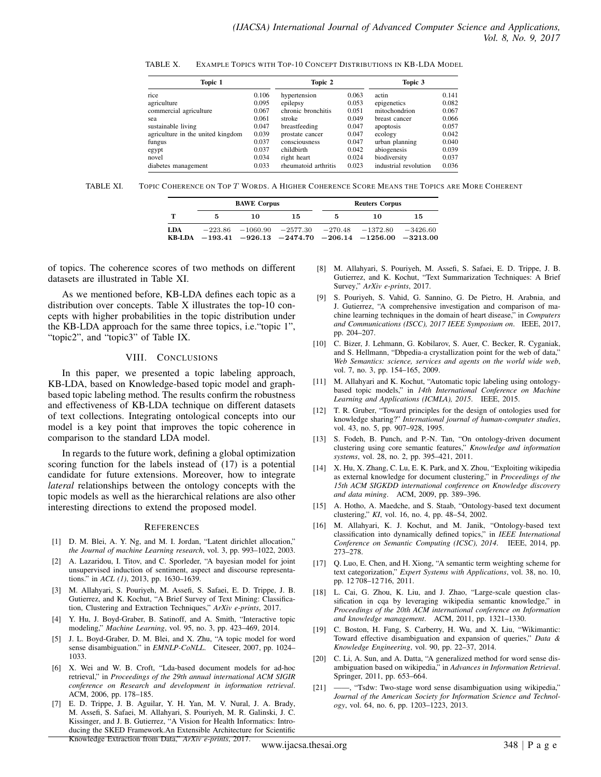| EXAMPLE TOPICS WITH TOP-10 CONCEPT DISTRIBUTIONS IN KB-LDA MODEL<br>TABLE X. |  |
|------------------------------------------------------------------------------|--|
|------------------------------------------------------------------------------|--|

| Topic 1                           | Topic 2 |                      | Topic 3 |                       |       |
|-----------------------------------|---------|----------------------|---------|-----------------------|-------|
| rice                              | 0.106   | hypertension         | 0.063   | actin                 | 0.141 |
| agriculture                       | 0.095   | epilepsy             | 0.053   | epigenetics           | 0.082 |
| commercial agriculture            | 0.067   | chronic bronchitis   | 0.051   | mitochondrion         | 0.067 |
| sea                               | 0.061   | stroke               | 0.049   | breast cancer         | 0.066 |
| sustainable living                | 0.047   | breastfeeding        | 0.047   | apoptosis             | 0.057 |
| agriculture in the united kingdom | 0.039   | prostate cancer      | 0.047   | ecology               | 0.042 |
| fungus                            | 0.037   | consciousness        | 0.047   | urban planning        | 0.040 |
| egypt                             | 0.037   | childhirth           | 0.042   | abiogenesis           | 0.039 |
| novel                             | 0.034   | right heart          | 0.024   | biodiversity          | 0.037 |
| diabetes management               | 0.033   | rheumatoid arthritis | 0.023   | industrial revolution | 0.036 |

TABLE XI. TOPIC COHERENCE ON TOP T WORDS. A HIGHER COHERENCE SCORE MEANS THE TOPICS ARE MORE COHERENT

|     |   | <b>BAWE</b> Corpus |                                                                                                                               | <b>Reuters Corpus</b> |    |            |
|-----|---|--------------------|-------------------------------------------------------------------------------------------------------------------------------|-----------------------|----|------------|
| т   | 5 | 10                 | 15                                                                                                                            | 5                     | 10 | 15         |
| LDA |   |                    | $-223.86$ $-1060.90$ $-2577.30$ $-270.48$ $-1372.80$<br>KB-LDA $-193.41$ $-926.13$ $-2474.70$ $-206.14$ $-1256.00$ $-3213.00$ |                       |    | $-3426.60$ |

of topics. The coherence scores of two methods on different datasets are illustrated in Table XI.

As we mentioned before, KB-LDA defines each topic as a distribution over concepts. Table X illustrates the top-10 concepts with higher probabilities in the topic distribution under the KB-LDA approach for the same three topics, i.e."topic 1", "topic2", and "topic3" of Table IX.

#### VIII. CONCLUSIONS

In this paper, we presented a topic labeling approach, KB-LDA, based on Knowledge-based topic model and graphbased topic labeling method. The results confirm the robustness and effectiveness of KB-LDA technique on different datasets of text collections. Integrating ontological concepts into our model is a key point that improves the topic coherence in comparison to the standard LDA model.

In regards to the future work, defining a global optimization scoring function for the labels instead of (17) is a potential candidate for future extensions. Moreover, how to integrate *lateral* relationships between the ontology concepts with the topic models as well as the hierarchical relations are also other interesting directions to extend the proposed model.

#### **REFERENCES**

- [1] D. M. Blei, A. Y. Ng, and M. I. Jordan, "Latent dirichlet allocation," *the Journal of machine Learning research*, vol. 3, pp. 993–1022, 2003.
- [2] A. Lazaridou, I. Titov, and C. Sporleder, "A bayesian model for joint unsupervised induction of sentiment, aspect and discourse representations." in *ACL (1)*, 2013, pp. 1630–1639.
- [3] M. Allahyari, S. Pouriyeh, M. Assefi, S. Safaei, E. D. Trippe, J. B. Gutierrez, and K. Kochut, "A Brief Survey of Text Mining: Classification, Clustering and Extraction Techniques," *ArXiv e-prints*, 2017.
- [4] Y. Hu, J. Boyd-Graber, B. Satinoff, and A. Smith, "Interactive topic modeling," *Machine Learning*, vol. 95, no. 3, pp. 423–469, 2014.
- [5] J. L. Boyd-Graber, D. M. Blei, and X. Zhu, "A topic model for word sense disambiguation." in *EMNLP-CoNLL*. Citeseer, 2007, pp. 1024– 1033.
- [6] X. Wei and W. B. Croft, "Lda-based document models for ad-hoc retrieval," in *Proceedings of the 29th annual international ACM SIGIR conference on Research and development in information retrieval*. ACM, 2006, pp. 178–185.
- [7] E. D. Trippe, J. B. Aguilar, Y. H. Yan, M. V. Nural, J. A. Brady, M. Assefi, S. Safaei, M. Allahyari, S. Pouriyeh, M. R. Galinski, J. C. Kissinger, and J. B. Gutierrez, "A Vision for Health Informatics: Introducing the SKED Framework.An Extensible Architecture for Scientific Knowledge Extraction from Data," *ArXiv e-prints*, 2017.
- [8] M. Allahyari, S. Pouriyeh, M. Assefi, S. Safaei, E. D. Trippe, J. B. Gutierrez, and K. Kochut, "Text Summarization Techniques: A Brief Survey," *ArXiv e-prints*, 2017.
- [9] S. Pouriyeh, S. Vahid, G. Sannino, G. De Pietro, H. Arabnia, and J. Gutierrez, "A comprehensive investigation and comparison of machine learning techniques in the domain of heart disease," in *Computers and Communications (ISCC), 2017 IEEE Symposium on*. IEEE, 2017, pp. 204–207.
- [10] C. Bizer, J. Lehmann, G. Kobilarov, S. Auer, C. Becker, R. Cyganiak, and S. Hellmann, "Dbpedia-a crystallization point for the web of data," *Web Semantics: science, services and agents on the world wide web*, vol. 7, no. 3, pp. 154–165, 2009.
- [11] M. Allahyari and K. Kochut, "Automatic topic labeling using ontologybased topic models," in *14th International Conference on Machine Learning and Applications (ICMLA), 2015*. IEEE, 2015.
- [12] T. R. Gruber, "Toward principles for the design of ontologies used for knowledge sharing?" *International journal of human-computer studies*, vol. 43, no. 5, pp. 907–928, 1995.
- [13] S. Fodeh, B. Punch, and P.-N. Tan, "On ontology-driven document clustering using core semantic features," *Knowledge and information systems*, vol. 28, no. 2, pp. 395–421, 2011.
- [14] X. Hu, X. Zhang, C. Lu, E. K. Park, and X. Zhou, "Exploiting wikipedia as external knowledge for document clustering," in *Proceedings of the 15th ACM SIGKDD international conference on Knowledge discovery and data mining*. ACM, 2009, pp. 389–396.
- [15] A. Hotho, A. Maedche, and S. Staab, "Ontology-based text document clustering," *KI*, vol. 16, no. 4, pp. 48–54, 2002.
- [16] M. Allahyari, K. J. Kochut, and M. Janik, "Ontology-based text classification into dynamically defined topics," in *IEEE International Conference on Semantic Computing (ICSC), 2014*. IEEE, 2014, pp. 273–278.
- [17] Q. Luo, E. Chen, and H. Xiong, "A semantic term weighting scheme for text categorization," *Expert Systems with Applications*, vol. 38, no. 10, pp. 12 708–12 716, 2011.
- [18] L. Cai, G. Zhou, K. Liu, and J. Zhao, "Large-scale question classification in cqa by leveraging wikipedia semantic knowledge," in *Proceedings of the 20th ACM international conference on Information and knowledge management*. ACM, 2011, pp. 1321–1330.
- [19] C. Boston, H. Fang, S. Carberry, H. Wu, and X. Liu, "Wikimantic: Toward effective disambiguation and expansion of queries," *Data & Knowledge Engineering*, vol. 90, pp. 22–37, 2014.
- [20] C. Li, A. Sun, and A. Datta, "A generalized method for word sense disambiguation based on wikipedia," in *Advances in Information Retrieval*. Springer, 2011, pp. 653–664.
- [21] ——, "Tsdw: Two-stage word sense disambiguation using wikipedia," *Journal of the American Society for Information Science and Technology*, vol. 64, no. 6, pp. 1203–1223, 2013.